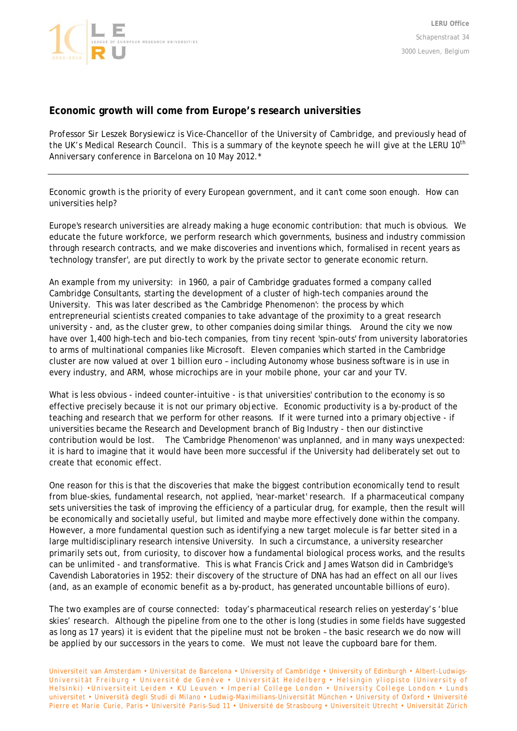

## **Economic growth will come from Europe's research universities**

*Professor Sir Leszek Borysiewicz is Vice-Chancellor of the University of Cambridge, and previously head of the UK's Medical Research Council. This is a summary of the keynote speech he will give at the LERU 10th Anniversary conference in Barcelona on 10 May 2012.\** 

Economic growth is the priority of every European government, and it can't come soon enough. How can universities help?

Europe's research universities are already making a huge economic contribution: that much is obvious. We educate the future workforce, we perform research which governments, business and industry commission through research contracts, and we make discoveries and inventions which, formalised in recent years as 'technology transfer', are put directly to work by the private sector to generate economic return.

An example from my university: in 1960, a pair of Cambridge graduates formed a company called Cambridge Consultants, starting the development of a cluster of high-tech companies around the University. This was later described as 'the Cambridge Phenomenon': the process by which entrepreneurial scientists created companies to take advantage of the proximity to a great research university - and, as the cluster grew, to other companies doing similar things. Around the city we now have over 1,400 high-tech and bio-tech companies, from tiny recent 'spin-outs' from university laboratories to arms of multinational companies like Microsoft. Eleven companies which started in the Cambridge cluster are now valued at over 1 billion euro – including Autonomy whose business software is in use in every industry, and ARM, whose microchips are in your mobile phone, your car and your TV.

What is less obvious - indeed counter-intuitive - is that universities' contribution to the economy is so effective precisely because it is not our primary objective. Economic productivity is a by-product of the teaching and research that we perform for other reasons. If it were turned into a primary objective - if universities became the Research and Development branch of Big Industry - then our distinctive contribution would be lost. The 'Cambridge Phenomenon' was unplanned, and in many ways unexpected: it is hard to imagine that it would have been more successful if the University had deliberately set out to create that economic effect.

One reason for this is that the discoveries that make the biggest contribution economically tend to result from blue-skies, fundamental research, not applied, 'near-market' research. If a pharmaceutical company sets universities the task of improving the efficiency of a particular drug, for example, then the result will be economically and societally useful, but limited and maybe more effectively done within the company. However, a more fundamental question such as identifying a new target molecule is far better sited in a large multidisciplinary research intensive University. In such a circumstance, a university researcher primarily sets out, from curiosity, to discover how a fundamental biological process works, and the results can be unlimited - and transformative. This is what Francis Crick and James Watson did in Cambridge's Cavendish Laboratories in 1952: their discovery of the structure of DNA has had an effect on all our lives (and, as an example of economic benefit as a by-product, has generated uncountable billions of euro).

The two examples are of course connected: today's pharmaceutical research relies on yesterday's 'blue skies' research. Although the pipeline from one to the other is long (studies in some fields have suggested as long as 17 years) it is evident that the pipeline must not be broken – the basic research we do now will be applied by our successors in the years to come. We must not leave the cupboard bare for them.

Universiteit van Amsterdam • Universitat de Barcelona • University of Cambridge • University of Edinburgh • Albert-Ludwigs-Universität Freiburg • Université de Genève • Univer sität Heidelberg • Helsingin yliopisto (University of Helsinki) •Universiteit Leiden • KU Leuven • Imperial College London • University College London • Lunds universitet • Università degli Studi di Milano • Ludwig-Maximilians-Universität München • University of Oxford • Université Pierre et Marie Curie, Paris • Université Paris-Sud 11 • Université de Strasbourg • Universiteit Utrecht • Universität Zürich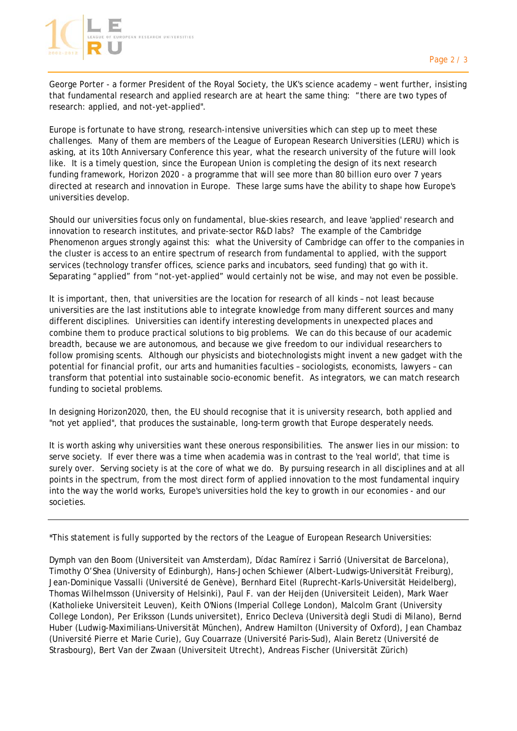

George Porter - a former President of the Royal Society, the UK's science academy – went further, insisting that fundamental research and applied research are at heart the same thing: "there are two types of research: applied, and not-yet-applied".

Europe is fortunate to have strong, research-intensive universities which can step up to meet these challenges. Many of them are members of the League of European Research Universities (LERU) which is asking, at its 10th Anniversary Conference this year, what the research university of the future will look like. It is a timely question, since the European Union is completing the design of its next research funding framework, Horizon 2020 - a programme that will see more than 80 billion euro over 7 years directed at research and innovation in Europe. These large sums have the ability to shape how Europe's universities develop.

Should our universities focus only on fundamental, blue-skies research, and leave 'applied' research and innovation to research institutes, and private-sector R&D labs? The example of the Cambridge Phenomenon argues strongly against this: what the University of Cambridge can offer to the companies in the cluster is access to an entire spectrum of research from fundamental to applied, with the support services (technology transfer offices, science parks and incubators, seed funding) that go with it. Separating "applied" from "not-yet-applied" would certainly not be wise, and may not even be possible.

It is important, then, that universities are the location for research of all kinds – not least because universities are the last institutions able to integrate knowledge from many different sources and many different disciplines. Universities can identify interesting developments in unexpected places and combine them to produce practical solutions to big problems. We can do this because of our academic breadth, because we are autonomous, and because we give freedom to our individual researchers to follow promising scents. Although our physicists and biotechnologists might invent a new gadget with the potential for financial profit, our arts and humanities faculties – sociologists, economists, lawyers – can transform that potential into sustainable socio-economic benefit. As integrators, we can match research funding to societal problems.

In designing Horizon2020, then, the EU should recognise that it is university research, both applied and "not yet applied", that produces the sustainable, long-term growth that Europe desperately needs.

It is worth asking why universities want these onerous responsibilities. The answer lies in our mission: to serve society. If ever there was a time when academia was in contrast to the 'real world', that time is surely over. Serving society is at the core of what we do. By pursuing research in all disciplines and at all points in the spectrum, from the most direct form of applied innovation to the most fundamental inquiry into the way the world works, Europe's universities hold the key to growth in our economies - and our societies.

\*This statement is fully supported by the rectors of the League of European Research Universities:

Dymph van den Boom (Universiteit van Amsterdam), Dídac Ramírez i Sarrió (Universitat de Barcelona), Timothy O'Shea (University of Edinburgh), Hans-Jochen Schiewer (Albert-Ludwigs-Universität Freiburg), Jean-Dominique Vassalli (Université de Genève), Bernhard Eitel (Ruprecht-Karls-Universität Heidelberg), Thomas Wilhelmsson (University of Helsinki), Paul F. van der Heijden (Universiteit Leiden), Mark Waer (Katholieke Universiteit Leuven), Keith O'Nions (Imperial College London), Malcolm Grant (University College London), Per Eriksson (Lunds universitet), Enrico Decleva (Università degli Studi di Milano), Bernd Huber (Ludwig-Maximilians-Universität München), Andrew Hamilton (University of Oxford), Jean Chambaz (Université Pierre et Marie Curie), Guy Couarraze (Université Paris-Sud), Alain Beretz (Université de Strasbourg), Bert Van der Zwaan (Universiteit Utrecht), Andreas Fischer (Universität Zürich)